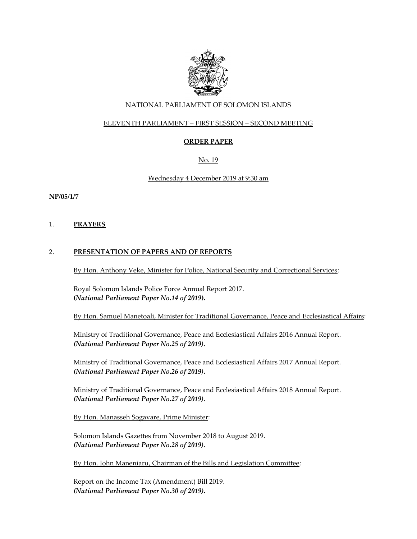

### NATIONAL PARLIAMENT OF SOLOMON ISLANDS

### ELEVENTH PARLIAMENT – FIRST SESSION – SECOND MEETING

## **ORDER PAPER**

No. 19

#### Wednesday 4 December 2019 at 9:30 am

**NP/05/1/7**

1. **PRAYERS**

### 2. **PRESENTATION OF PAPERS AND OF REPORTS**

By Hon. Anthony Veke, Minister for Police, National Security and Correctional Services:

Royal Solomon Islands Police Force Annual Report 2017. **(***National Parliament Paper No.14 of 2019***).**

By Hon. Samuel Manetoali, Minister for Traditional Governance, Peace and Ecclesiastical Affairs:

Ministry of Traditional Governance, Peace and Ecclesiastical Affairs 2016 Annual Report. *(National Parliament Paper No.25 of 2019).*

Ministry of Traditional Governance, Peace and Ecclesiastical Affairs 2017 Annual Report. *(National Parliament Paper No.26 of 2019).*

Ministry of Traditional Governance, Peace and Ecclesiastical Affairs 2018 Annual Report. *(National Parliament Paper No.27 of 2019).*

By Hon. Manasseh Sogavare, Prime Minister:

Solomon Islands Gazettes from November 2018 to August 2019. *(National Parliament Paper No.28 of 2019).*

By Hon. John Maneniaru, Chairman of the Bills and Legislation Committee:

Report on the Income Tax (Amendment) Bill 2019. *(National Parliament Paper No.30 of 2019).*